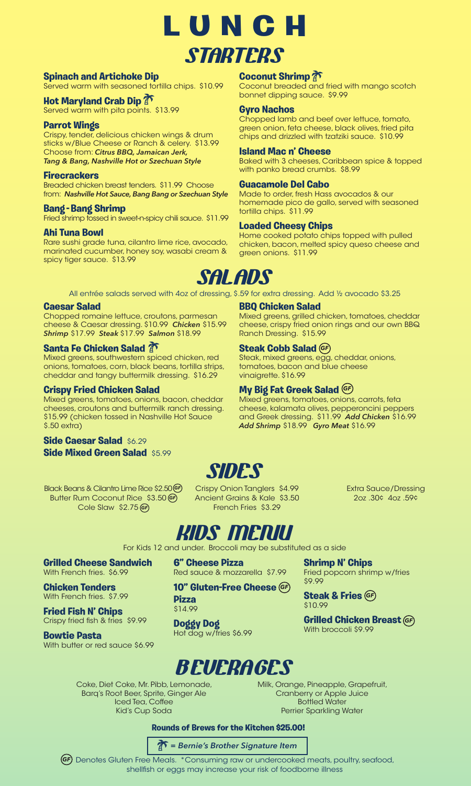

### **Spinach and Artichoke Dip**

Served warm with seasoned tortilla chips. \$10.99

### **Hot Maryland Crab Dip**

Served warm with pita points. \$13.99

### **Parrot Wings**

Crispy, tender, delicious chicken wings & drum sticks w/Blue Cheese or Ranch & celery. \$13.99 Choose from: *Citrus BBQ, Jamaican Jerk, Tang & Bang, Nashville Hot or Szechuan Style* 

### **Firecrackers**

Breaded chicken breast tenders. \$11.99 Choose from: *Nashville Hot Sauce, Bang Bang or Szechuan Style* 

### **Bang - Bang Shrimp**

Fried shrimp tossed in sweet-n-spicy chili sauce. \$11.99

### **Ahi Tuna Bowl**

Rare sushi grade tuna, cilantro lime rice, avocado, marinated cucumber, honey soy, wasabi cream & spicy tiger sauce. \$13.99

### **Coconut Shrimp**

Coconut breaded and fried with mango scotch bonnet dipping sauce. \$9.99

### **Gyro Nachos**

Chopped lamb and beef over lettuce, tomato, green onion, feta cheese, black olives, fried pita chips and drizzled with tzatziki sauce. \$10.99

### **Island Mac n' Cheese**

Baked with 3 cheeses, Caribbean spice & topped with panko bread crumbs. \$8.99

### **Guacamole Del Cabo**

Made to order, fresh Hass avocados & our homemade pico de gallo, served with seasoned tortilla chips. \$11.99

### **Loaded Cheesy Chips**

**BBQ Chicken Salad** 

Ranch Dressing. \$15.99 **Steak Cobb Salad**  *GF*

vinaigrette. \$16.99

Home cooked potato chips topped with pulled chicken, bacon, melted spicy queso cheese and green onions. \$11.99

Mixed greens, grilled chicken, tomatoes, cheddar cheese, crispy fried onion rings and our own BBQ

Steak, mixed greens, egg, cheddar, onions,

Mixed greens, tomatoes, onions, carrots, feta cheese, kalamata olives, pepperoncini peppers and Greek dressing. \$11.99 *Add Chicken* \$16.99

tomatoes, bacon and blue cheese

*Add Shrimp* \$18.99 *Gyro Meat* \$16.99

**My Big Fat Greek Salad**  *GF*

## **SALADS**

All entrée salads served with 4oz of dressing, \$.59 for extra dressing. Add ½ avocado \$3.25

### **Caesar Salad**

Chopped romaine lettuce, croutons, parmesan cheese & Caesar dressing. \$10.99 *Chicken* \$15.99 *Shrimp* \$17.99 *Steak* \$17.99 *Salmon* \$18.99

### **Santa Fe Chicken Salad**

Mixed greens, southwestern spiced chicken, red onions, tomatoes, corn, black beans, tortilla strips, cheddar and tangy buttermilk dressing. \$16.29

### **Crispy Fried Chicken Salad**

Mixed greens, tomatoes, onions, bacon, cheddar cheeses, croutons and buttermilk ranch dressing. \$15.99 (chicken tossed in Nashville Hot Sauce \$.50 extra)

### **Side Caesar Salad** \$6.29 **Side Mixed Green Salad** \$5.99

Black Beans & Cilantro Lime Rice \$2.50 *GF* Butter Rum Coconut Rice \$3.50 *GF* Cole Slaw \$2.75 *GF*

Crispy Onion Tanglers \$4.99 Ancient Grains & Kale \$3.50 French Fries \$3.29

Extra Sauce/Dressing 2oz .30¢ 4oz .59¢



For Kids 12 and under. Broccoli may be substituted as a side

**Grilled Cheese Sandwich**  With French fries. \$6.99

**Chicken Tenders**  With French fries. \$7.99

**Fried Fish N' Chips**  Crispy fried fish & fries \$9.99

**Bowtie Pasta**  With butter or red sauce \$6.99 **6" Cheese Pizza** Red sauce & mozzarella \$7.99

**10" Gluten-Free Cheese**  *GF* **Pizza** 

\$14.99

**Doggy Dog**  Hot dog w/fries \$6.99

### **BEVERAGES**

Coke, Diet Coke, Mr. Pibb, Lemonade, Barq's Root Beer, Sprite, Ginger Ale Iced Tea, Coffee Kid's Cup Soda

Milk, Orange, Pineapple, Grapefruit, Cranberry or Apple Juice Bottled Water Perrier Sparkling Water

**Shrimp N' Chips**

**Steak & Fries**  *GF*

With broccoli \$9.99

\$9.99

\$10.99

Fried popcorn shrimp w/fries

**Grilled Chicken Breast**  *GF*

### **Rounds of Brews for the Kitchen \$25.00!**

### *= Bernie's Brother Signature Item*

Denotes Gluten Free Meals. \*Consuming raw or undercooked meats, poultry, seafood, *GF* shellfish or eggs may increase your risk of foodborne illness

**SIDES**